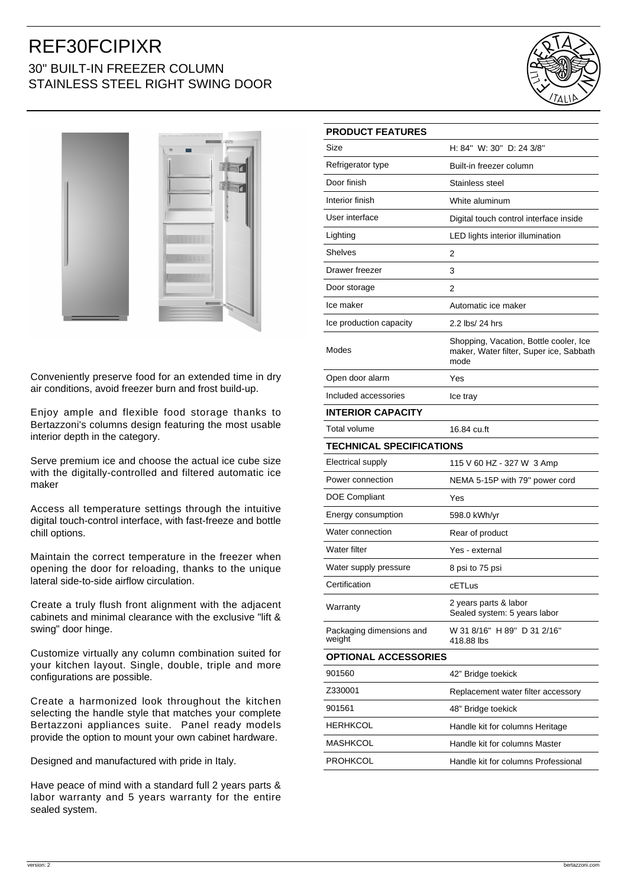## REF30FCIPIXR 30" BUILT-IN FREEZER COLUMN STAINLESS STEEL RIGHT SWING DOOR





Conveniently preserve food for an extended time in dry air conditions, avoid freezer burn and frost build-up.

Enjoy ample and flexible food storage thanks to Bertazzoni's columns design featuring the most usable interior depth in the category.

Serve premium ice and choose the actual ice cube size with the digitally-controlled and filtered automatic ice maker

Access all temperature settings through the intuitive digital touch-control interface, with fast-freeze and bottle chill options.

Maintain the correct temperature in the freezer when opening the door for reloading, thanks to the unique lateral side-to-side airflow circulation.

Create a truly flush front alignment with the adjacent cabinets and minimal clearance with the exclusive "lift & swing" door hinge.

Customize virtually any column combination suited for your kitchen layout. Single, double, triple and more configurations are possible.

Create a harmonized look throughout the kitchen selecting the handle style that matches your complete Bertazzoni appliances suite. Panel ready models provide the option to mount your own cabinet hardware.

Designed and manufactured with pride in Italy.

Have peace of mind with a standard full 2 years parts & labor warranty and 5 years warranty for the entire sealed system.

| <b>PRODUCT FEATURES</b>            |                                                                                           |
|------------------------------------|-------------------------------------------------------------------------------------------|
| Size                               | H: 84" W: 30" D: 24 3/8"                                                                  |
| Refrigerator type                  | Built-in freezer column                                                                   |
| Door finish                        | Stainless steel                                                                           |
| Interior finish                    | White aluminum                                                                            |
| User interface                     | Digital touch control interface inside                                                    |
| Lighting                           | LED lights interior illumination                                                          |
| <b>Shelves</b>                     | 2                                                                                         |
| Drawer freezer                     | 3                                                                                         |
| Door storage                       | 2                                                                                         |
| Ice maker                          | Automatic ice maker                                                                       |
| Ice production capacity            | 2.2 lbs/ 24 hrs                                                                           |
| Modes                              | Shopping, Vacation, Bottle cooler, Ice<br>maker, Water filter, Super ice, Sabbath<br>mode |
| Open door alarm                    | Yes                                                                                       |
| Included accessories               | Ice tray                                                                                  |
| <b>INTERIOR CAPACITY</b>           |                                                                                           |
| Total volume                       | 16.84 cu.ft                                                                               |
| <b>TECHNICAL SPECIFICATIONS</b>    |                                                                                           |
| <b>Electrical supply</b>           | 115 V 60 HZ - 327 W 3 Amp                                                                 |
| Power connection                   | NEMA 5-15P with 79" power cord                                                            |
| <b>DOE Compliant</b>               | Yes                                                                                       |
| Energy consumption                 | 598.0 kWh/yr                                                                              |
| Water connection                   | Rear of product                                                                           |
| Water filter                       | Yes - external                                                                            |
| Water supply pressure              | 8 psi to 75 psi                                                                           |
| Certification                      | cETLus                                                                                    |
| Warranty                           | 2 years parts & labor<br>Sealed system: 5 years labor                                     |
| Packaging dimensions and<br>weight | W 31 8/16" H 89" D 31 2/16"<br>418.88 lbs                                                 |
| <b>OPTIONAL ACCESSORIES</b>        |                                                                                           |
| 901560                             | 42" Bridge toekick                                                                        |
| Z330001                            | Replacement water filter accessory                                                        |
| 901561                             | 48" Bridge toekick                                                                        |
| HERHKCOL                           | Handle kit for columns Heritage                                                           |
| MASHKCOL                           | Handle kit for columns Master                                                             |
| PROHKCOL                           | Handle kit for columns Professional                                                       |
|                                    |                                                                                           |